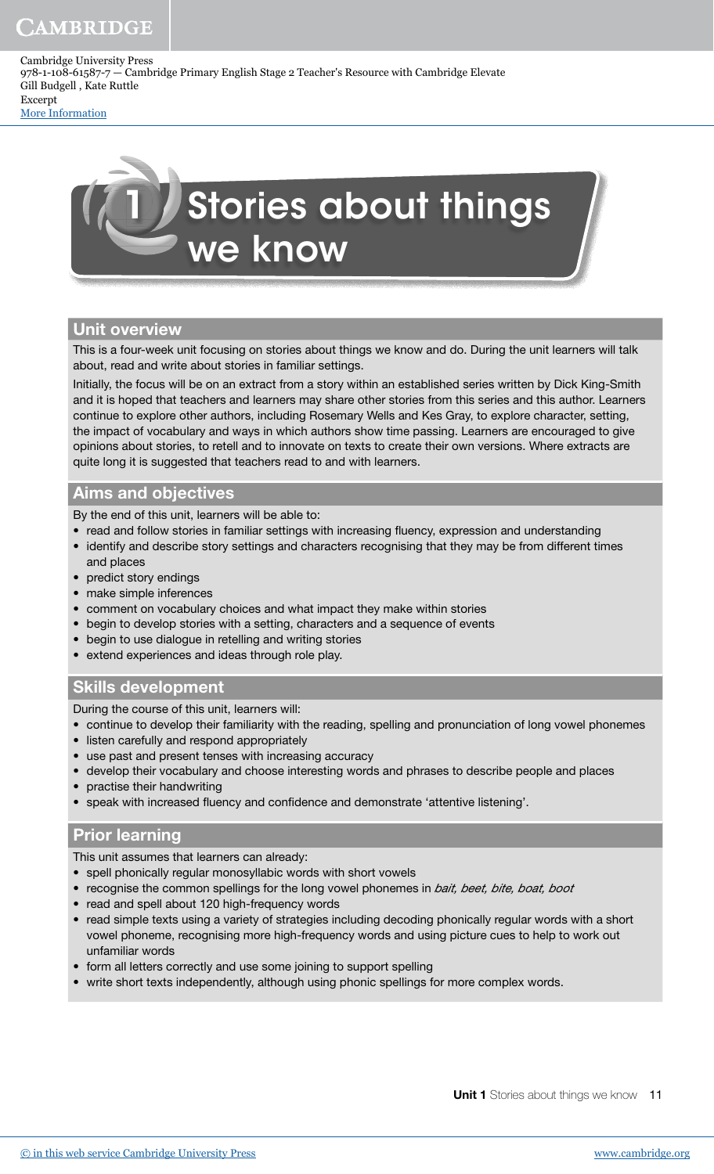Cambridge University Press 978-1-108-61587-7 — Cambridge Primary English Stage 2 Teacher's Resource with Cambridge Elevate Gill Budgell , Kate Ruttle Excerpt

[More Information](www.cambridge.org/9781108615877)



## Unit overview

This is a four-week unit focusing on stories about things we know and do. During the unit learners will talk about, read and write about stories in familiar settings.

Initially, the focus will be on an extract from a story within an established series written by Dick King-Smith and it is hoped that teachers and learners may share other stories from this series and this author. Learners continue to explore other authors, including Rosemary Wells and Kes Gray, to explore character, setting, the impact of vocabulary and ways in which authors show time passing. Learners are encouraged to give opinions about stories, to retell and to innovate on texts to create their own versions. Where extracts are quite long it is suggested that teachers read to and with learners.

## Aims and objectives

By the end of this unit, learners will be able to:

- read and follow stories in familiar settings with increasing fluency, expression and understanding
- identify and describe story settings and characters recognising that they may be from different times and places
- predict story endings
- make simple inferences
- comment on vocabulary choices and what impact they make within stories
- begin to develop stories with a setting, characters and a sequence of events
- begin to use dialogue in retelling and writing stories
- extend experiences and ideas through role play.

# Skills development

During the course of this unit, learners will:

- continue to develop their familiarity with the reading, spelling and pronunciation of long vowel phonemes
- listen carefully and respond appropriately
- use past and present tenses with increasing accuracy
- develop their vocabulary and choose interesting words and phrases to describe people and places
- practise their handwriting
- speak with increased fluency and confidence and demonstrate 'attentive listening'.

## Prior learning

This unit assumes that learners can already:

- spell phonically regular monosyllabic words with short vowels
- recognise the common spellings for the long vowel phonemes in bait, beet, bite, boat, boot
- read and spell about 120 high-frequency words
- read simple texts using a variety of strategies including decoding phonically regular words with a short vowel phoneme, recognising more high-frequency words and using picture cues to help to work out unfamiliar words
- form all letters correctly and use some joining to support spelling
- write short texts independently, although using phonic spellings for more complex words.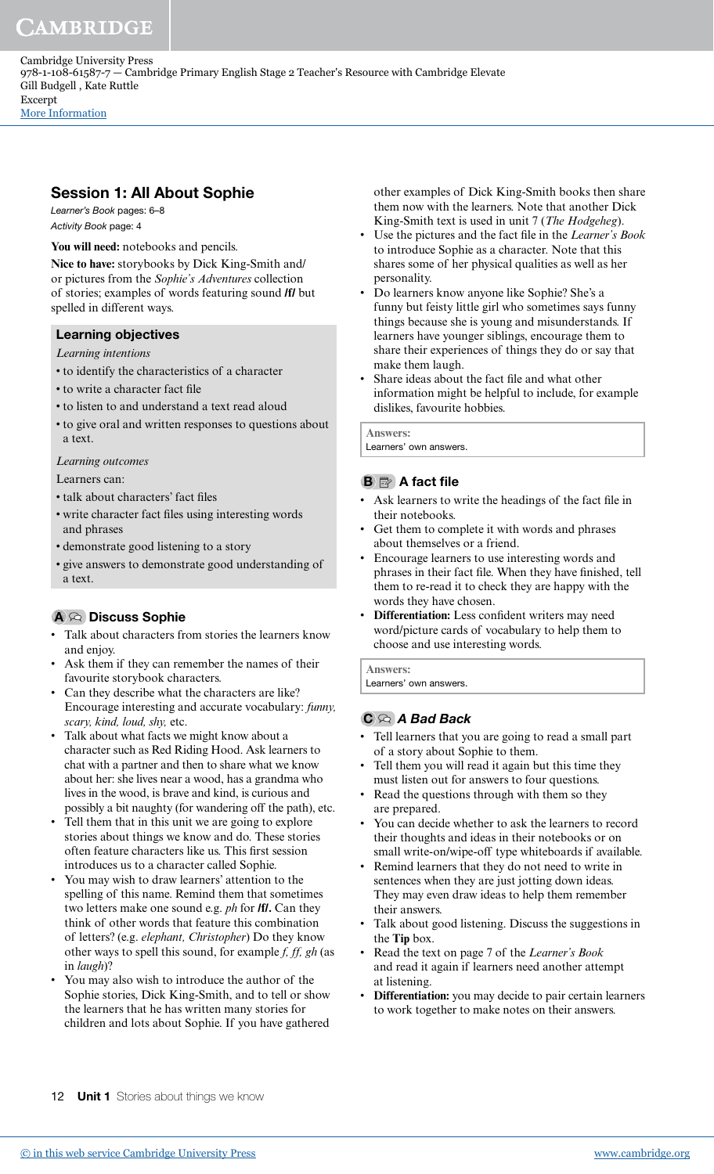Session 1: All About Sophie Learner's Book pages: 6–8 Activity Book page: 4

You will need: notebooks and pencils.

**Nice to have:** storybooks by Dick King-Smith and/ or pictures from the *Sophie's Adventures* collection of stories; examples of words featuring sound **/f/** but spelled in different ways.

# Learning objectives

*Learning intentions*

- to identify the characteristics of a character
- to write a character fact file
- to listen to and understand a text read aloud
- to give oral and written responses to questions about a text.

*Learning outcomes*

Learners can:

- talk about characters' fact iles
- write character fact iles using interesting words and phrases
- demonstrate good listening to a story
- give answers to demonstrate good understanding of a text.

# A  $\odot$  Discuss Sophie

- Talk about characters from stories the learners know and enjoy.
- Ask them if they can remember the names of their favourite storybook characters.
- Can they describe what the characters are like? Encourage interesting and accurate vocabulary: *funny, scary, kind, loud, shy,* etc.
- Talk about what facts we might know about a character such as Red Riding Hood. Ask learners to chat with a partner and then to share what we know about her: she lives near a wood, has a grandma who lives in the wood, is brave and kind, is curious and possibly a bit naughty (for wandering off the path), etc.
- Tell them that in this unit we are going to explore stories about things we know and do. These stories often feature characters like us. This first session introduces us to a character called Sophie.
- You may wish to draw learners' attention to the spelling of this name. Remind them that sometimes two letters make one sound e.g. *ph* for **/f/.** Can they think of other words that feature this combination of letters? (e.g. *elephant, Christopher*) Do they know other ways to spell this sound, for example *f, ff, gh* (as in *laugh*)?
- You may also wish to introduce the author of the Sophie stories, Dick King-Smith, and to tell or show the learners that he has written many stories for children and lots about Sophie. If you have gathered

other examples of Dick King-Smith books then share them now with the learners. Note that another Dick King-Smith text is used in unit 7 (*The Hodgeheg*).

- Use the pictures and the fact ile in the *Learner's Book* to introduce Sophie as a character. Note that this shares some of her physical qualities as well as her personality.
- Do learners know anyone like Sophie? She's a funny but feisty little girl who sometimes says funny things because she is young and misunderstands. If learners have younger siblings, encourage them to share their experiences of things they do or say that make them laugh.
- Share ideas about the fact ile and what other information might be helpful to include, for example dislikes, favourite hobbies.

**Answers:**

Learners' own answers.

# **B A** fact file

- Ask learners to write the headings of the fact file in their notebooks.
- Get them to complete it with words and phrases about themselves or a friend.
- Encourage learners to use interesting words and phrases in their fact file. When they have finished, tell them to re-read it to check they are happy with the words they have chosen.
- **Differentiation:** Less confident writers may need word/picture cards of vocabulary to help them to choose and use interesting words.

**Answers:** Learners' own answers.

# $C \otimes A$  Bad Back

- Tell learners that you are going to read a small part of a story about Sophie to them.
- Tell them you will read it again but this time they must listen out for answers to four questions.
- Read the questions through with them so they are prepared.
- You can decide whether to ask the learners to record their thoughts and ideas in their notebooks or on small write-on/wipe-off type whiteboards if available.
- Remind learners that they do not need to write in sentences when they are just jotting down ideas. They may even draw ideas to help them remember their answers.
- Talk about good listening. Discuss the suggestions in the **Tip** box.
- Read the text on page 7 of the *Learner's Book* and read it again if learners need another attempt at listening.
- **Differentiation:** you may decide to pair certain learners to work together to make notes on their answers.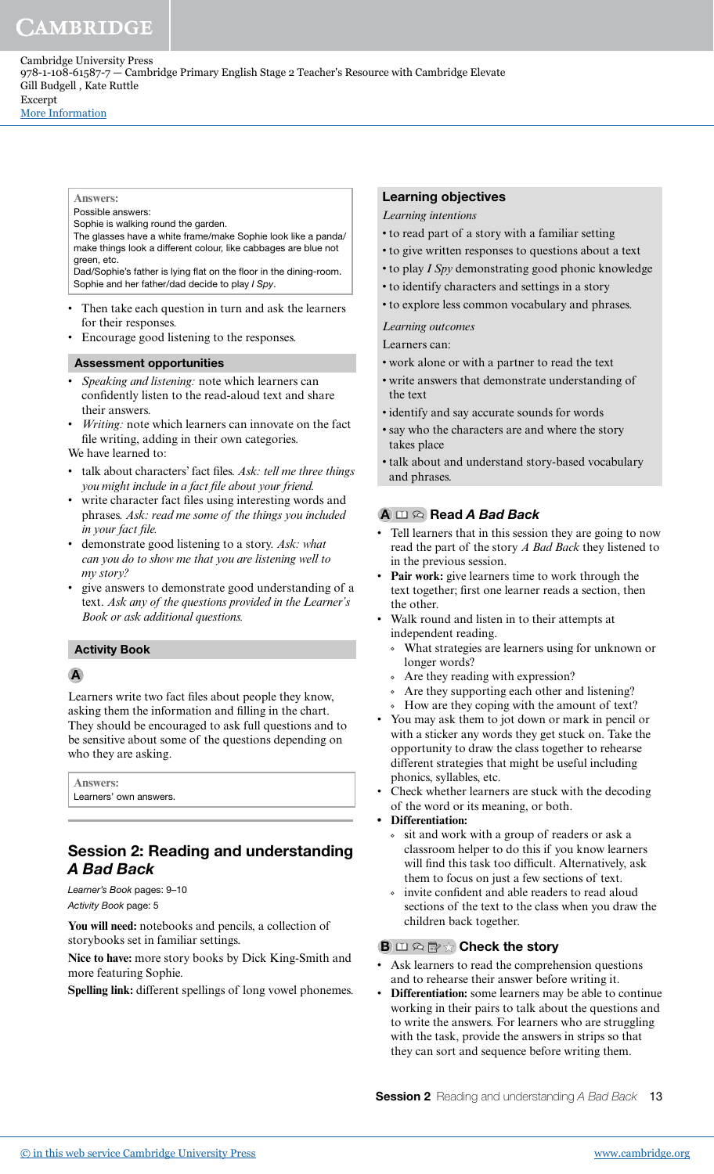[More Information](www.cambridge.org/9781108615877)

## **Answers:**

Possible answers: Sophie is walking round the garden.

The glasses have a white frame/make Sophie look like a panda/ make things look a different colour, like cabbages are blue not green, etc.

Dad/Sophie's father is lying flat on the floor in the dining-room. Sophie and her father/dad decide to play I Spy.

- Then take each question in turn and ask the learners for their responses.
- Encourage good listening to the responses.

## Assessment opportunities

- *Speaking and listening:* note which learners can confidently listen to the read-aloud text and share their answers.
- *Writing:* note which learners can innovate on the fact file writing, adding in their own categories.

We have learned to:

- talk about characters' fact iles. *Ask: tell me three things you might include in a fact ile about your friend.*
- write character fact files using interesting words and phrases. *Ask: read me some of the things you included in your fact file.*
- demonstrate good listening to a story. *Ask: what can you do to show me that you are listening well to my story?*
- give answers to demonstrate good understanding of a text. *Ask any of the questions provided in the Learner's Book or ask additional questions.*

#### Activity Book

## **A**

Learners write two fact iles about people they know, asking them the information and illing in the chart. They should be encouraged to ask full questions and to be sensitive about some of the questions depending on who they are asking.

**Answers:** Learners' own answers.

# Session 2: Reading and understanding A Bad Back

Learner's Book pages: 9–10 Activity Book page: 5

**You will need:** notebooks and pencils, a collection of storybooks set in familiar settings.

**Nice to have:** more story books by Dick King-Smith and more featuring Sophie.

**Spelling link:** different spellings of long vowel phonemes.

## Learning objectives

*Learning intentions*

- to read part of a story with a familiar setting
- to give written responses to questions about a text
- to play *I Spy* demonstrating good phonic knowledge
- to identify characters and settings in a story
- to explore less common vocabulary and phrases.

## *Learning outcomes*

Learners can:

- work alone or with a partner to read the text
- write answers that demonstrate understanding of the text
- identify and say accurate sounds for words
- say who the characters are and where the story takes place
- talk about and understand story-based vocabulary and phrases.

## $A \n \Box \n \odot$  Read A Bad Back

- Tell learners that in this session they are going to now read the part of the story *A Bad Back* they listened to in the previous session.
- Pair work: give learners time to work through the text together; first one learner reads a section, then the other.
- Walk round and listen in to their attempts at independent reading.
	- What strategies are learners using for unknown or longer words?
	- Are they reading with expression?
	- Are they supporting each other and listening?
	- How are they coping with the amount of text?
- You may ask them to jot down or mark in pencil or with a sticker any words they get stuck on. Take the opportunity to draw the class together to rehearse different strategies that might be useful including phonics, syllables, etc.
- Check whether learners are stuck with the decoding of the word or its meaning, or both.
- **Differentiation:**
	- sit and work with a group of readers or ask a classroom helper to do this if you know learners will find this task too difficult. Alternatively, ask them to focus on just a few sections of text.
	- invite confident and able readers to read aloud sections of the text to the class when you draw the children back together.

## **B**  $\Box \otimes \mathbb{B} \otimes \Box$  Check the story

- Ask learners to read the comprehension questions and to rehearse their answer before writing it.
- **Differentiation:** some learners may be able to continue working in their pairs to talk about the questions and to write the answers. For learners who are struggling with the task, provide the answers in strips so that they can sort and sequence before writing them.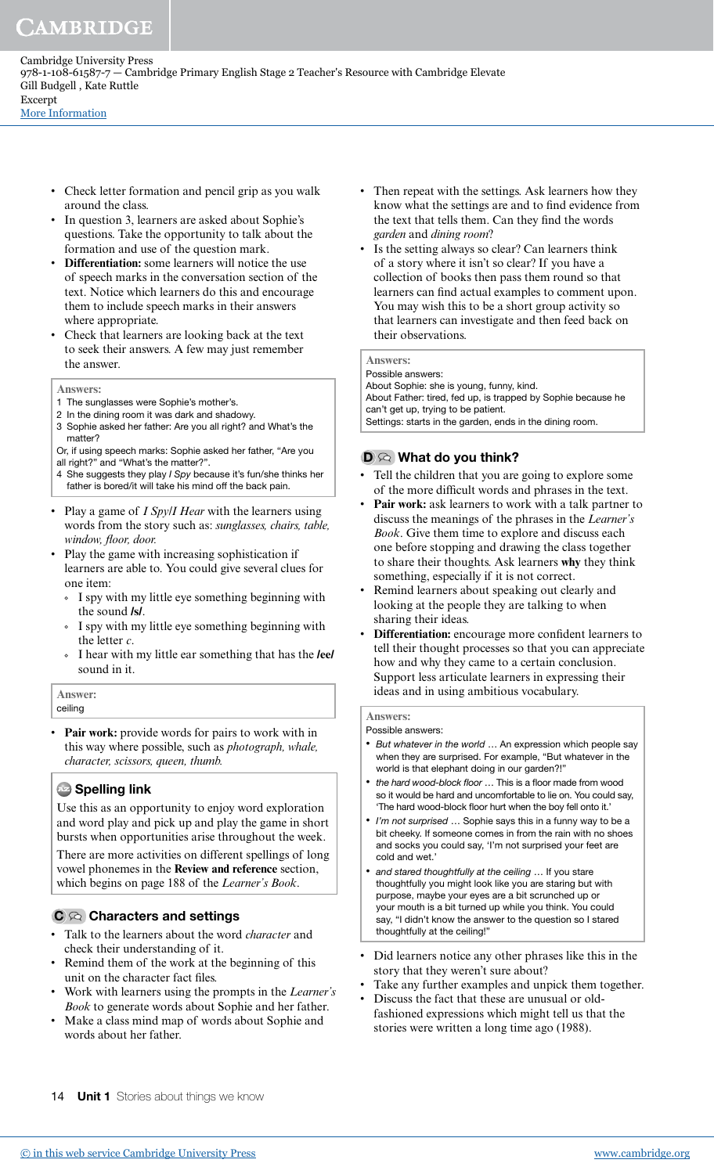Cambridge University Press 978-1-108-61587-7 — Cambridge Primary English Stage 2 Teacher's Resource with Cambridge Elevate Gill Budgell , Kate Ruttle Excerpt

[More Information](www.cambridge.org/9781108615877)

- Check letter formation and pencil grip as you walk around the class.
- In question 3, learners are asked about Sophie's questions. Take the opportunity to talk about the formation and use of the question mark.
- **Differentiation:** some learners will notice the use of speech marks in the conversation section of the text. Notice which learners do this and encourage them to include speech marks in their answers where appropriate.
- Check that learners are looking back at the text to seek their answers. A few may just remember the answer.
- **Answers:**
- 1 The sunglasses were Sophie's mother's.
- 2 In the dining room it was dark and shadowy.
- 3 Sophie asked her father: Are you all right? and What's the matter?

Or, if using speech marks: Sophie asked her father, "Are you all right?" and "What's the matter?".

- 4 She suggests they play I Spy because it's fun/she thinks her father is bored/it will take his mind off the back pain.
- Play a game of *I Spy/I Hear* with the learners using words from the story such as: *sunglasses, chairs, table, window, loor, door.*
- Play the game with increasing sophistication if learners are able to. You could give several clues for one item:
	- I spy with my little eye something beginning with the sound **/s/**.
	- I spy with my little eye something beginning with the letter *c*.
	- I hear with my little ear something that has the **/ee/**  sound in it.

**Answer:**

ceiling

Pair work: provide words for pairs to work with in this way where possible, such as *photograph, whale, character, scissors, queen, thumb.*

## **Az** Spelling link

Use this as an opportunity to enjoy word exploration and word play and pick up and play the game in short bursts when opportunities arise throughout the week.

There are more activities on different spellings of long vowel phonemes in the **Review and reference** section, which begins on page 188 of the *Learner's Book*.

# $C \otimes$  Characters and settings

- Talk to the learners about the word *character* and check their understanding of it.
- Remind them of the work at the beginning of this unit on the character fact files.
- Work with learners using the prompts in the *Learner's Book* to generate words about Sophie and her father.
- Make a class mind map of words about Sophie and words about her father.
- Then repeat with the settings. Ask learners how they know what the settings are and to find evidence from the text that tells them. Can they find the words *garden* and *dining room*?
- Is the setting always so clear? Can learners think of a story where it isn't so clear? If you have a collection of books then pass them round so that learners can find actual examples to comment upon. You may wish this to be a short group activity so that learners can investigate and then feed back on their observations.

#### **Answers:**

Possible answers: About Sophie: she is young, funny, kind. About Father: tired, fed up, is trapped by Sophie because he can't get up, trying to be patient. Settings: starts in the garden, ends in the dining room.

## $D \otimes$  What do you think?

- Tell the children that you are going to explore some of the more dificult words and phrases in the text.
- Pair work: ask learners to work with a talk partner to discuss the meanings of the phrases in the *Learner's Book*. Give them time to explore and discuss each one before stopping and drawing the class together to share their thoughts. Ask learners **why** they think something, especially if it is not correct.
- Remind learners about speaking out clearly and looking at the people they are talking to when sharing their ideas.
- **Differentiation:** encourage more confident learners to tell their thought processes so that you can appreciate how and why they came to a certain conclusion. Support less articulate learners in expressing their ideas and in using ambitious vocabulary.

## **Answers:**

Possible answers:

- But whatever in the world ... An expression which people say when they are surprised. For example, "But whatever in the world is that elephant doing in our garden?!"
- the hard wood-block floor ... This is a floor made from wood so it would be hard and uncomfortable to lie on. You could say, 'The hard wood-block floor hurt when the boy fell onto it.'
- I'm not surprised ... Sophie says this in a funny way to be a bit cheeky. If someone comes in from the rain with no shoes and socks you could say, 'I'm not surprised your feet are cold and wet.'
- and stared thoughtfully at the ceiling ... If you stare thoughtfully you might look like you are staring but with purpose, maybe your eyes are a bit scrunched up or your mouth is a bit turned up while you think. You could say, "I didn't know the answer to the question so I stared thoughtfully at the ceiling!"
- Did learners notice any other phrases like this in the story that they weren't sure about?
- Take any further examples and unpick them together.
- Discuss the fact that these are unusual or oldfashioned expressions which might tell us that the stories were written a long time ago (1988).
- 14 **Unit 1** Stories about things we know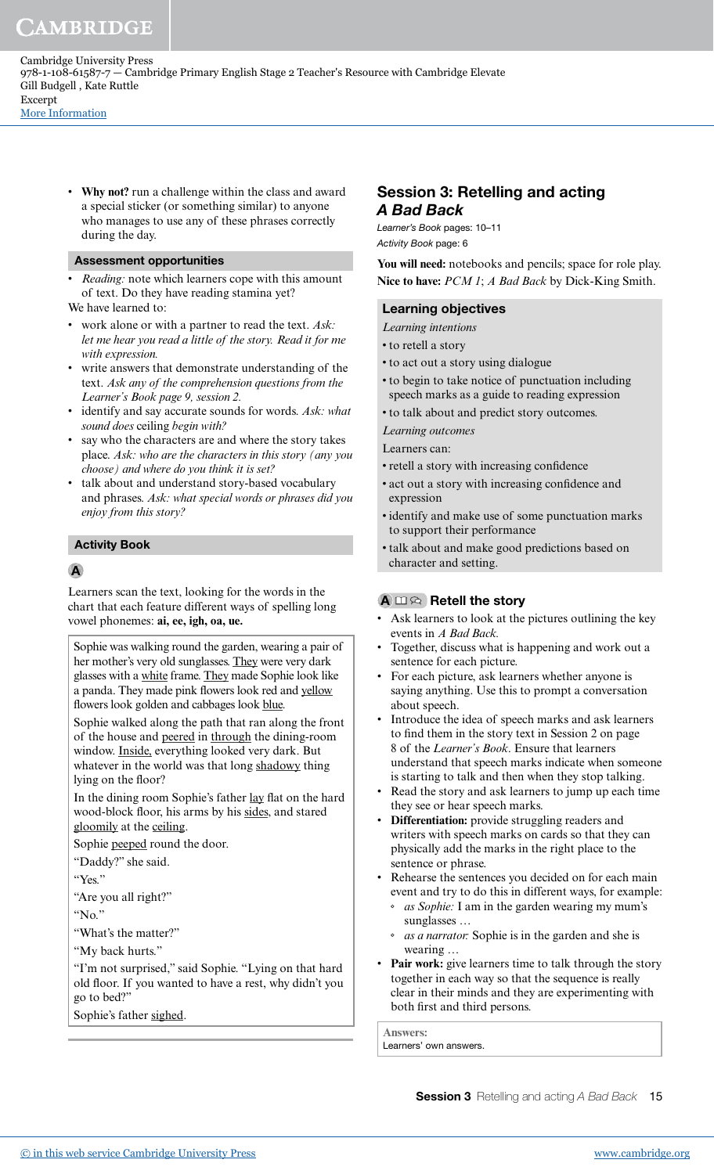• **Why not?** run a challenge within the class and award a special sticker (or something similar) to anyone who manages to use any of these phrases correctly during the day.

#### Assessment opportunities

*Reading:* note which learners cope with this amount of text. Do they have reading stamina yet?

We have learned to:

- work alone or with a partner to read the text. *Ask: let me hear you read a little of the story. Read it for me with expression.*
- write answers that demonstrate understanding of the text. *Ask any of the comprehension questions from the Learner's Book page 9, session 2.*
- identify and say accurate sounds for words. *Ask: what sound does* ceiling *begin with?*
- say who the characters are and where the story takes place. *Ask: who are the characters in this story (any you choose) and where do you think it is set?*
- talk about and understand story-based vocabulary and phrases. *Ask: what special words or phrases did you enjoy from this story?*

#### Activity Book

#### A

Learners scan the text, looking for the words in the chart that each feature different ways of spelling long vowel phonemes: **ai, ee, igh, oa, ue.**

Sophie was walking round the garden, wearing a pair of her mother's very old sunglasses. They were very dark glasses with a white frame. They made Sophie look like a panda. They made pink flowers look red and yellow flowers look golden and cabbages look blue.

Sophie walked along the path that ran along the front of the house and peered in through the dining-room window. Inside, everything looked very dark. But whatever in the world was that long shadowy thing lying on the floor?

In the dining room Sophie's father lay flat on the hard wood-block floor, his arms by his sides, and stared gloomily at the ceiling.

Sophie peeped round the door.

"Daddy?" she said.

"Yes."

"Are you all right?"

"No."

"What's the matter?"

"My back hurts."

"I'm not surprised," said Sophie. "Lying on that hard old floor. If you wanted to have a rest, why didn't you go to bed?"

Sophie's father sighed.

# Session 3: Retelling and acting A Bad Back

Learner's Book pages: 10–11 Activity Book page: 6

**You will need:** notebooks and pencils; space for role play. **Nice to have:** *PCM 1*; *A Bad Back* by Dick-King Smith.

#### Learning objectives

*Learning intentions*

- to retell a story
- to act out a story using dialogue
- to begin to take notice of punctuation including speech marks as a guide to reading expression
- to talk about and predict story outcomes.

*Learning outcomes*

Learners can:

- retell a story with increasing confidence
- act out a story with increasing confidence and expression
- identify and make use of some punctuation marks to support their performance
- talk about and make good predictions based on character and setting.

## $A \square \otimes$  Retell the story

- Ask learners to look at the pictures outlining the key events in *A Bad Back.*
- Together, discuss what is happening and work out a sentence for each picture.
- For each picture, ask learners whether anyone is saying anything. Use this to prompt a conversation about speech.
- Introduce the idea of speech marks and ask learners to find them in the story text in Session 2 on page 8 of the *Learner's Book*. Ensure that learners understand that speech marks indicate when someone is starting to talk and then when they stop talking.
- Read the story and ask learners to jump up each time they see or hear speech marks.
- **Differentiation:** provide struggling readers and writers with speech marks on cards so that they can physically add the marks in the right place to the sentence or phrase.
- Rehearse the sentences you decided on for each main event and try to do this in different ways, for example:
	- *as Sophie:* I am in the garden wearing my mum's sunglasses …
	- *as a narrator:* Sophie is in the garden and she is wearing …
- **Pair work:** give learners time to talk through the story together in each way so that the sequence is really clear in their minds and they are experimenting with both first and third persons.

**Answers:** Learners' own answers.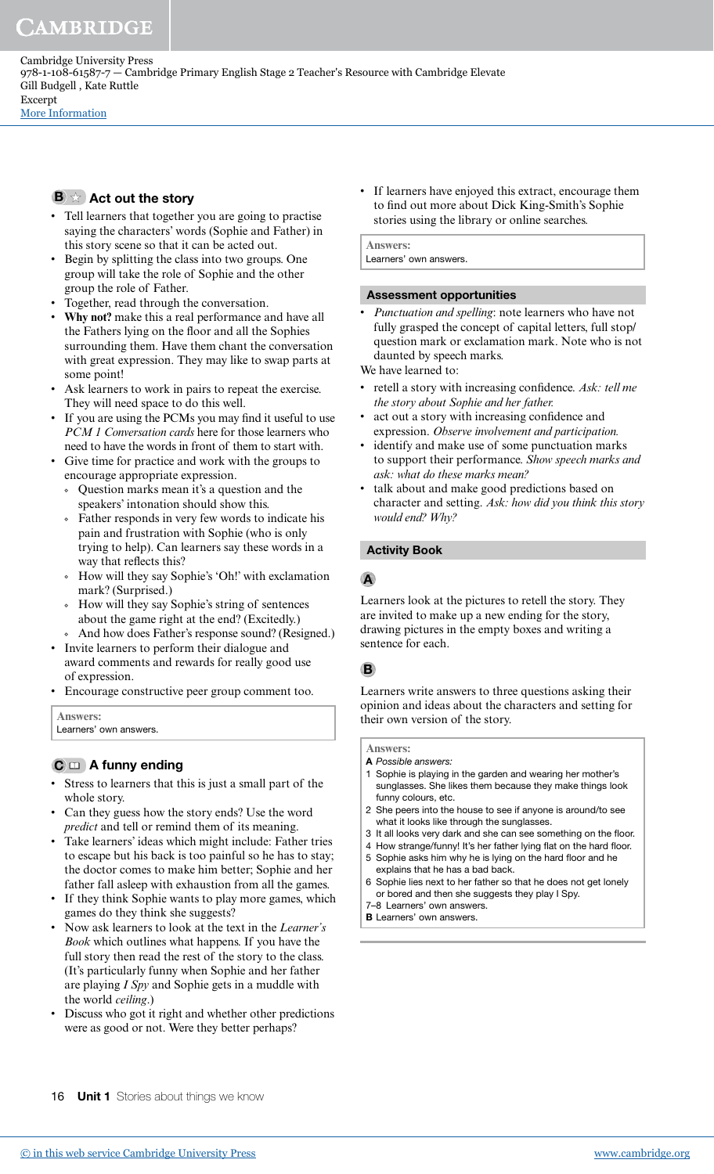Cambridge University Press 978-1-108-61587-7 — Cambridge Primary English Stage 2 Teacher's Resource with Cambridge Elevate Gill Budgell , Kate Ruttle Excerpt

[More Information](www.cambridge.org/9781108615877)

# $\mathbf{B} \times \mathbf{A}$  Act out the story

- Tell learners that together you are going to practise saying the characters' words (Sophie and Father) in this story scene so that it can be acted out.
- Begin by splitting the class into two groups. One group will take the role of Sophie and the other group the role of Father.
- Together, read through the conversation.
- **Why not?** make this a real performance and have all the Fathers lying on the floor and all the Sophies surrounding them. Have them chant the conversation with great expression. They may like to swap parts at some point!
- Ask learners to work in pairs to repeat the exercise. They will need space to do this well.
- If you are using the PCMs you may find it useful to use *PCM 1 Conversation cards* here for those learners who need to have the words in front of them to start with.
- Give time for practice and work with the groups to encourage appropriate expression.
	- Question marks mean it's a question and the speakers' intonation should show this.
	- Father responds in very few words to indicate his pain and frustration with Sophie (who is only trying to help). Can learners say these words in a way that reflects this?
	- How will they say Sophie's 'Oh!' with exclamation mark? (Surprised.)
	- How will they say Sophie's string of sentences about the game right at the end? (Excitedly.)
- And how does Father's response sound? (Resigned.) • Invite learners to perform their dialogue and
- award comments and rewards for really good use of expression.
- Encourage constructive peer group comment too.

**Answers:** Learners' own answers.

# $C \nightharpoonup A$  funny ending

- Stress to learners that this is just a small part of the whole story.
- Can they guess how the story ends? Use the word *predict* and tell or remind them of its meaning.
- Take learners' ideas which might include: Father tries to escape but his back is too painful so he has to stay; the doctor comes to make him better; Sophie and her father fall asleep with exhaustion from all the games.
- If they think Sophie wants to play more games, which games do they think she suggests?
- Now ask learners to look at the text in the *Learner's Book* which outlines what happens. If you have the full story then read the rest of the story to the class. (It's particularly funny when Sophie and her father are playing *I Spy* and Sophie gets in a muddle with the world *ceiling*.)
- Discuss who got it right and whether other predictions were as good or not. Were they better perhaps?

• If learners have enjoyed this extract, encourage them to find out more about Dick King-Smith's Sophie stories using the library or online searches.

**Answers:** Learners' own answers.

# Assessment opportunities

• *Punctuation and spelling*: note learners who have not fully grasped the concept of capital letters, full stop/ question mark or exclamation mark. Note who is not daunted by speech marks.

We have learned to:

- retell a story with increasing confidence. Ask: tell me *the story about Sophie and her father.*
- act out a story with increasing confidence and expression. *Observe involvement and participation.*
- identify and make use of some punctuation marks to support their performance. *Show speech marks and ask: what do these marks mean?*
- talk about and make good predictions based on character and setting. *Ask: how did you think this story would end? Why?*

## Activity Book

## A

Learners look at the pictures to retell the story. They are invited to make up a new ending for the story, drawing pictures in the empty boxes and writing a sentence for each.

## B

 Learners write answers to three questions asking their opinion and ideas about the characters and setting for their own version of the story.

**Answers:**

- A Possible answers:
- 1 Sophie is playing in the garden and wearing her mother's sunglasses. She likes them because they make things look funny colours, etc.
- 2 She peers into the house to see if anyone is around/to see what it looks like through the sunglasses.
- 3 It all looks very dark and she can see something on the floor.
- 4 How strange/funny! It's her father lying flat on the hard floor.
- 5 Sophie asks him why he is lying on the hard floor and he explains that he has a bad back.
- 6 Sophie lies next to her father so that he does not get lonely or bored and then she suggests they play I Spy. 7–8 Learners' own answers.
- **B** Learners' own answers.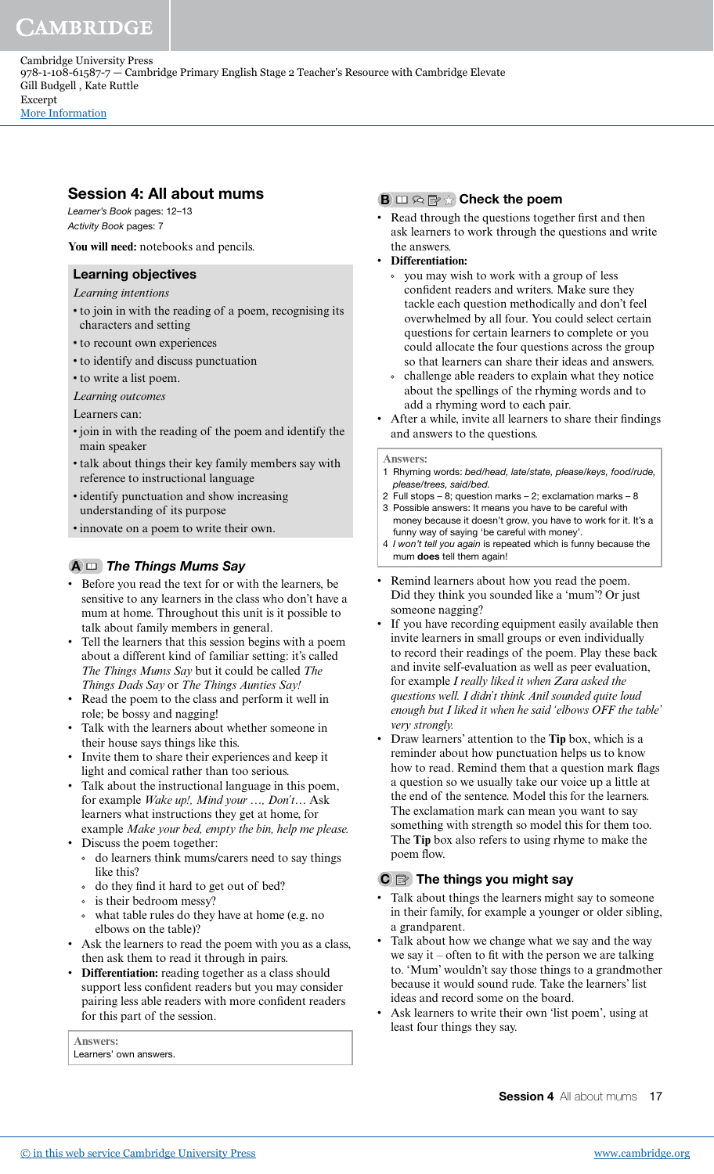[More Information](www.cambridge.org/9781108615877)

## Session 4: All about mums

Learner's Book pages: 12–13 Activity Book pages: 7

**You will need:** notebooks and pencils.

## Learning objectives

*Learning intentions*

- to join in with the reading of a poem, recognising its characters and setting
- to recount own experiences
- to identify and discuss punctuation
- to write a list poem.
- *Learning outcomes*

Learners can:

- join in with the reading of the poem and identify the main speaker
- talk about things their key family members say with reference to instructional language
- identify punctuation and show increasing understanding of its purpose
- innovate on a poem to write their own.

## $A \n \Box$  The Things Mums Say

- Before you read the text for or with the learners, be sensitive to any learners in the class who don't have a mum at home. Throughout this unit is it possible to talk about family members in general.
- Tell the learners that this session begins with a poem about a different kind of familiar setting: it's called *The Things Mums Say* but it could be called *The Things Dads Say* or *The Things Aunties Say!*
- Read the poem to the class and perform it well in role; be bossy and nagging!
- Talk with the learners about whether someone in their house says things like this.
- Invite them to share their experiences and keep it light and comical rather than too serious.
- Talk about the instructional language in this poem, for example *Wake up!, Mind your …, Don't…* Ask learners what instructions they get at home, for example *Make your bed, empty the bin, help me please.*
- Discuss the poem together:
	- do learners think mums/carers need to say things like this?
	- do they ind it hard to get out of bed?
	- is their bedroom messy?
	- what table rules do they have at home (e.g. no elbows on the table)?
- Ask the learners to read the poem with you as a class, then ask them to read it through in pairs.
- **Differentiation:** reading together as a class should support less confident readers but you may consider pairing less able readers with more conident readers for this part of the session.

**Answers:** Learners' own answers.

#### **B**  $\Box \otimes \mathbb{R}$   $\vee$  Check the poem

- Read through the questions together first and then ask learners to work through the questions and write the answers.
- **Differentiation:**
	- you may wish to work with a group of less confident readers and writers. Make sure they tackle each question methodically and don't feel overwhelmed by all four. You could select certain questions for certain learners to complete or you could allocate the four questions across the group so that learners can share their ideas and answers.
	- $\circ$  challenge able readers to explain what they notice about the spellings of the rhyming words and to add a rhyming word to each pair.
- After a while, invite all learners to share their findings and answers to the questions.

#### **Answers:**

- 1 Rhyming words: bed/head, late/state, please/keys, food/rude, please/trees, said/bed.
- 2 Full stops 8; question marks 2; exclamation marks 8 3 Possible answers: It means you have to be careful with
- money because it doesn't grow, you have to work for it. It's a funny way of saying 'be careful with money'.
- 4 I won't tell you again is repeated which is funny because the mum does tell them again!
- Remind learners about how you read the poem. Did they think you sounded like a 'mum'? Or just someone nagging?
- If you have recording equipment easily available then invite learners in small groups or even individually to record their readings of the poem. Play these back and invite self-evaluation as well as peer evaluation, for example *I really liked it when Zara asked the questions well. I didn't think Anil sounded quite loud enough but I liked it when he said 'elbows OFF the table' very strongly.*
- Draw learners' attention to the **Tip** box, which is a reminder about how punctuation helps us to know how to read. Remind them that a question mark flags a question so we usually take our voice up a little at the end of the sentence. Model this for the learners. The exclamation mark can mean you want to say something with strength so model this for them too. The **Tip** box also refers to using rhyme to make the poem flow.

## $\mathbf{C} \equiv \mathbf{C}$  The things you might say

- Talk about things the learners might say to someone in their family, for example a younger or older sibling, a grandparent.
- Talk about how we change what we say and the way we say it – often to fit with the person we are talking to. 'Mum' wouldn't say those things to a grandmother because it would sound rude. Take the learners' list ideas and record some on the board.
- Ask learners to write their own 'list poem', using at least four things they say.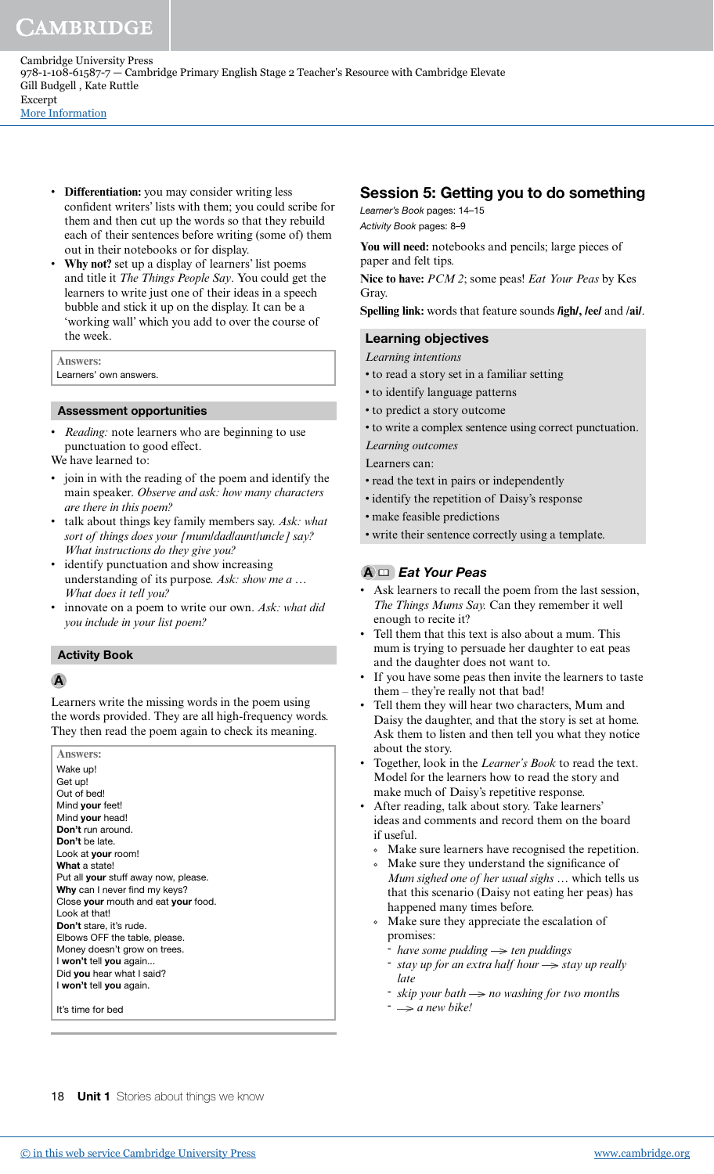• **Differentiation:** you may consider writing less confident writers' lists with them; you could scribe for them and then cut up the words so that they rebuild each of their sentences before writing (some of) them out in their notebooks or for display.

• **Why not?** set up a display of learners' list poems and title it *The Things People Say*. You could get the learners to write just one of their ideas in a speech bubble and stick it up on the display. It can be a 'working wall' which you add to over the course of the week.

#### **Answers:**

Learners' own answers.

#### Assessment opportunities

*Reading:* note learners who are beginning to use punctuation to good effect.

We have learned to:

- join in with the reading of the poem and identify the main speaker. *Observe and ask: how many characters are there in this poem?*
- talk about things key family members say. *Ask: what sort of things does your [mum/dad/aunt/uncle] say? What instructions do they give you?*
- identify punctuation and show increasing understanding of its purpose. *Ask: show me a … What does it tell you?*
- innovate on a poem to write our own. *Ask: what did you include in your list poem?*

#### Activity Book

#### A

Learners write the missing words in the poem using the words provided. They are all high-frequency words. They then read the poem again to check its meaning.

| <b>Answers:</b>                             |
|---------------------------------------------|
| Wake up!                                    |
| Get up!                                     |
| Out of bed!                                 |
| Mind your feet!                             |
| Mind your head!                             |
| Don't run around.                           |
| Don't be late.                              |
| Look at your room!                          |
| What a state!                               |
| Put all <b>your</b> stuff away now, please. |
| Why can I never find my keys?               |
| Close your mouth and eat your food.         |
| I ook at that!                              |
| <b>Don't</b> stare, it's rude.              |
| Elbows OFF the table, please.               |
| Money doesn't grow on trees.                |
| I won't tell you again                      |
| Did you hear what I said?                   |
| I won't tell you again.                     |
| It's time for bed                           |

## Session 5: Getting you to do something

Learner's Book pages: 14–15 Activity Book pages: 8–9

You will need: notebooks and pencils; large pieces of paper and felt tips.

**Nice to have:** *PCM 2*; some peas! *Eat Your Peas* by Kes Gray.

**Spelling link:** words that feature sounds **/igh/, /ee/** and /**ai/**.

#### Learning objectives

*Learning intentions*

- to read a story set in a familiar setting
- to identify language patterns
- to predict a story outcome
- to write a complex sentence using correct punctuation.
- *Learning outcomes*

Learners can:

- read the text in pairs or independently
- identify the repetition of Daisy's response
- make feasible predictions
- write their sentence correctly using a template.

#### $A \nightharpoonup$  Eat Your Peas

- Ask learners to recall the poem from the last session, *The Things Mums Say.* Can they remember it well enough to recite it?
- Tell them that this text is also about a mum. This mum is trying to persuade her daughter to eat peas and the daughter does not want to.
- If you have some peas then invite the learners to taste them – they're really not that bad!
- Tell them they will hear two characters, Mum and Daisy the daughter, and that the story is set at home. Ask them to listen and then tell you what they notice about the story.
- Together, look in the *Learner's Book* to read the text. Model for the learners how to read the story and make much of Daisy's repetitive response.
- After reading, talk about story. Take learners' ideas and comments and record them on the board if useful.
	- Make sure learners have recognised the repetition.
	- Make sure they understand the significance of *Mum sighed one of her usual sighs* … which tells us that this scenario (Daisy not eating her peas) has happened many times before.
	- Make sure they appreciate the escalation of promises:
		- $-$  *have some pudding*  $\rightarrow$  ten puddings
		- $\sim$  *stay up for an extra half hour*  $\rightarrow$  *stay up really late*
		- - *skip your bath no washing for two month*s
		- *a new bike!*

18 **Unit 1** Stories about things we know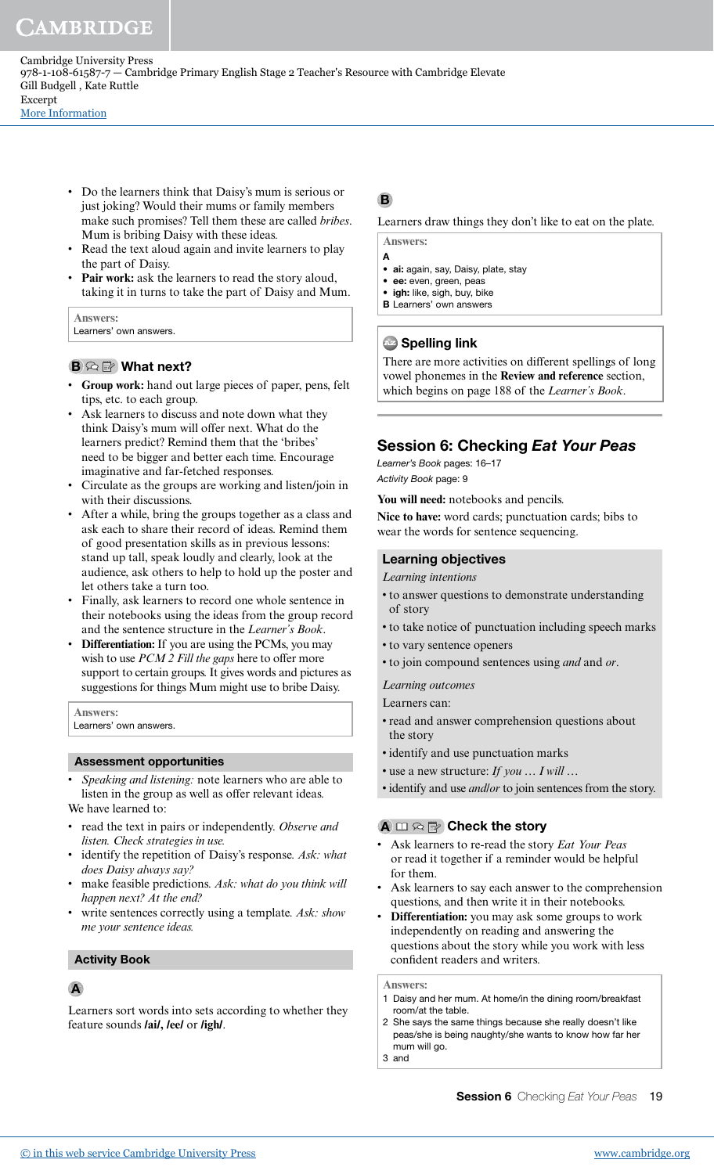Cambridge University Press 978-1-108-61587-7 — Cambridge Primary English Stage 2 Teacher's Resource with Cambridge Elevate Gill Budgell , Kate Ruttle Excerpt

[More Information](www.cambridge.org/9781108615877)

- Do the learners think that Daisy's mum is serious or just joking? Would their mums or family members make such promises? Tell them these are called *bribes*. Mum is bribing Daisy with these ideas.
- Read the text aloud again and invite learners to play the part of Daisy.
- **Pair work:** ask the learners to read the story aloud, taking it in turns to take the part of Daisy and Mum.

#### **Answers:**

Learners' own answers.

#### $\mathbf{B} \otimes \mathbb{B}$  What next?

- **Group work:** hand out large pieces of paper, pens, felt tips, etc. to each group.
- Ask learners to discuss and note down what they think Daisy's mum will offer next. What do the learners predict? Remind them that the 'bribes' need to be bigger and better each time. Encourage imaginative and far-fetched responses.
- Circulate as the groups are working and listen/join in with their discussions.
- After a while, bring the groups together as a class and ask each to share their record of ideas. Remind them of good presentation skills as in previous lessons: stand up tall, speak loudly and clearly, look at the audience, ask others to help to hold up the poster and let others take a turn too.
- Finally, ask learners to record one whole sentence in their notebooks using the ideas from the group record and the sentence structure in the *Learner's Book*.
- **Differentiation:** If you are using the PCMs, you may wish to use *PCM 2 Fill the gaps* here to offer more support to certain groups. It gives words and pictures as suggestions for things Mum might use to bribe Daisy.

**Answers:**

Learners' own answers.

#### Assessment opportunities

- *Speaking and listening:* note learners who are able to listen in the group as well as offer relevant ideas. We have learned to:
- read the text in pairs or independently. *Observe and listen. Check strategies in use.*
- identify the repetition of Daisy's response. *Ask: what does Daisy always say?*
- make feasible predictions. Ask: what do you think will *happen next? At the end?*
- write sentences correctly using a template. *Ask: show me your sentence ideas.*

#### Activity Book

#### A

Learners sort words into sets according to whether they feature sounds **/ai/, /ee/** or **/igh/**.

## B

Learners draw things they don't like to eat on the plate.

**Answers:**

- A • ai: again, say, Daisy, plate, stay
- ee: even, green, peas
- igh: like, sigh, buy, bike
- **B** Learners' own answers

#### **Az Spelling link**

There are more activities on different spellings of long vowel phonemes in the **Review and reference** section, which begins on page 188 of the *Learner's Book*.

## Session 6: Checking Eat Your Peas

Learner's Book pages: 16–17 Activity Book page: 9

**You will need:** notebooks and pencils.

**Nice to have:** word cards; punctuation cards; bibs to wear the words for sentence sequencing.

#### Learning objectives

#### *Learning intentions*

- to answer questions to demonstrate understanding of story
- to take notice of punctuation including speech marks
- to vary sentence openers
- to join compound sentences using *and* and *or*.
- *Learning outcomes*

Learners can:

- read and answer comprehension questions about the story
- identify and use punctuation marks
- use a new structure: *If you … I will …*
- identify and use *and/or* to join sentences from the story.

## $\mathbf{A} \bmod \mathbb{R}$  Check the story

- Ask learners to re-read the story *Eat Your Peas* or read it together if a reminder would be helpful for them.
- Ask learners to say each answer to the comprehension questions, and then write it in their notebooks.
- **Differentiation:** you may ask some groups to work independently on reading and answering the questions about the story while you work with less conident readers and writers.

**Answers:**

- 1 Daisy and her mum. At home/in the dining room/breakfast room/at the table.
- 2 She says the same things because she really doesn't like peas/she is being naughty/she wants to know how far her mum will go.